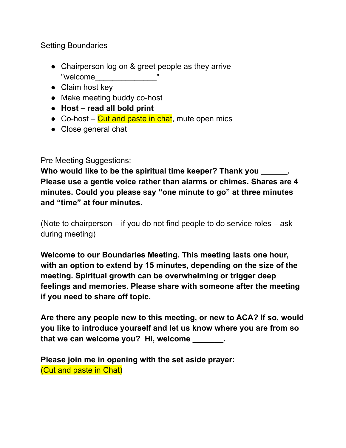Setting Boundaries

- Chairperson log on & greet people as they arrive "welcome\_\_\_\_\_\_\_\_\_\_\_\_\_\_"
- Claim host key
- Make meeting buddy co-host
- **● Host – read all bold print**
- Co-host  $-$  Cut and paste in chat, mute open mics
- Close general chat

Pre Meeting Suggestions:

**Who would like to be the spiritual time keeper? Thank you \_\_\_\_\_\_. Please use a gentle voice rather than alarms or chimes. Shares are 4 minutes. Could you please say "one minute to go" at three minutes and "time" at four minutes.**

(Note to chairperson – if you do not find people to do service roles – ask during meeting)

**Welcome to our Boundaries Meeting. This meeting lasts one hour, with an option to extend by 15 minutes, depending on the size of the meeting. Spiritual growth can be overwhelming or trigger deep feelings and memories. Please share with someone after the meeting if you need to share off topic.**

**Are there any people new to this meeting, or new to ACA? If so, would you like to introduce yourself and let us know where you are from so that we can welcome you? Hi, welcome \_\_\_\_\_\_\_.**

**Please join me in opening with the set aside prayer:** (Cut and paste in Chat)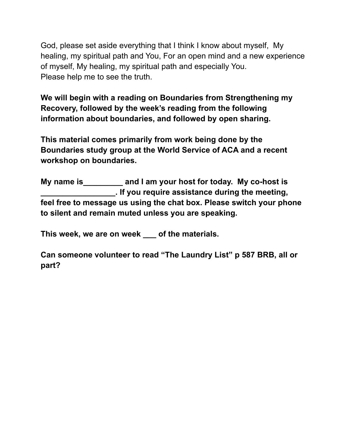God, please set aside everything that I think I know about myself, My healing, my spiritual path and You, For an open mind and a new experience of myself, My healing, my spiritual path and especially You. Please help me to see the truth.

**We will begin with a reading on Boundaries from Strengthening my Recovery, followed by the week's reading from the following information about boundaries, and followed by open sharing.**

**This material comes primarily from work being done by the Boundaries study group at the World Service of ACA and a recent workshop on boundaries.**

**My name is\_\_\_\_\_\_\_\_\_ and I am your host for today. My co-host is \_\_\_\_\_\_\_\_\_\_\_\_\_\_\_\_\_. If you require assistance during the meeting, feel free to message us using the chat box. Please switch your phone to silent and remain muted unless you are speaking.**

**This week, we are on week \_\_\_ of the materials.**

**Can someone volunteer to read "The Laundry List" p 587 BRB, all or part?**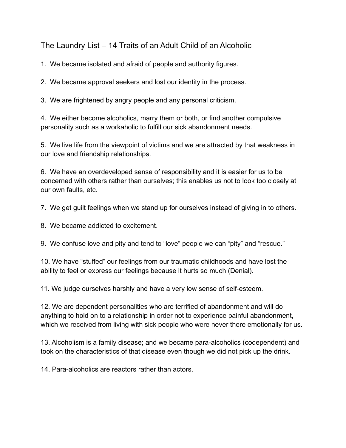The Laundry List – 14 Traits of an Adult Child of an Alcoholic

1. We became isolated and afraid of people and authority figures.

2. We became approval seekers and lost our identity in the process.

3. We are frightened by angry people and any personal criticism.

4. We either become alcoholics, marry them or both, or find another compulsive personality such as a workaholic to fulfill our sick abandonment needs.

5. We live life from the viewpoint of victims and we are attracted by that weakness in our love and friendship relationships.

6. We have an overdeveloped sense of responsibility and it is easier for us to be concerned with others rather than ourselves; this enables us not to look too closely at our own faults, etc.

7. We get guilt feelings when we stand up for ourselves instead of giving in to others.

8. We became addicted to excitement.

9. We confuse love and pity and tend to "love" people we can "pity" and "rescue."

10. We have "stuffed" our feelings from our traumatic childhoods and have lost the ability to feel or express our feelings because it hurts so much (Denial).

11. We judge ourselves harshly and have a very low sense of self-esteem.

12. We are dependent personalities who are terrified of abandonment and will do anything to hold on to a relationship in order not to experience painful abandonment, which we received from living with sick people who were never there emotionally for us.

13. Alcoholism is a family disease; and we became para-alcoholics (codependent) and took on the characteristics of that disease even though we did not pick up the drink.

14. Para-alcoholics are reactors rather than actors.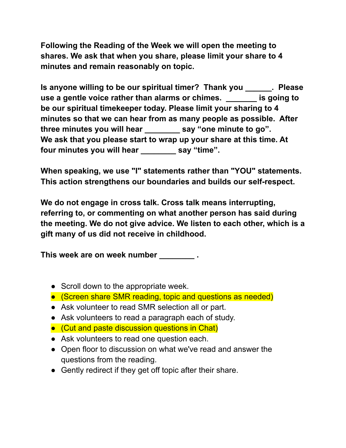**Following the Reading of the Week we will open the meeting to shares. We ask that when you share, please limit your share to 4 minutes and remain reasonably on topic.**

**Is anyone willing to be our spiritual timer? Thank you \_\_\_\_\_\_. Please use a gentle voice rather than alarms or chimes. \_\_\_\_\_\_\_ is going to be our spiritual timekeeper today. Please limit your sharing to 4 minutes so that we can hear from as many people as possible. After three minutes you will hear \_\_\_\_\_\_\_\_ say "one minute to go". We ask that you please start to wrap up your share at this time. At four minutes you will hear \_\_\_\_\_\_\_\_ say "time".**

**When speaking, we use "I" statements rather than "YOU" statements. This action strengthens our boundaries and builds our self-respect.**

**We do not engage in cross talk. Cross talk means interrupting, referring to, or commenting on what another person has said during the meeting. We do not give advice. We listen to each other, which is a gift many of us did not receive in childhood.**

**This week are on week number \_\_\_\_\_\_\_\_ .**

- Scroll down to the appropriate week.
- (Screen share SMR reading, topic and questions as needed)
- Ask volunteer to read SMR selection all or part.
- Ask volunteers to read a paragraph each of study.
- (Cut and paste discussion questions in Chat)
- Ask volunteers to read one question each.
- Open floor to discussion on what we've read and answer the questions from the reading.
- Gently redirect if they get off topic after their share.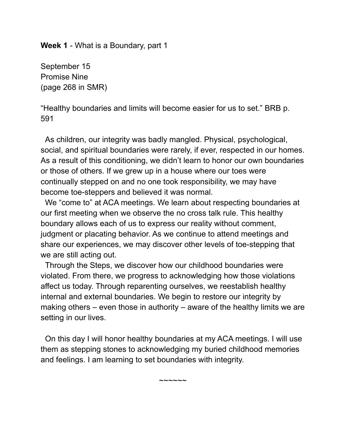**Week 1** - What is a Boundary, part 1

September 15 Promise Nine (page 268 in SMR)

"Healthy boundaries and limits will become easier for us to set." BRB p. 591

As children, our integrity was badly mangled. Physical, psychological, social, and spiritual boundaries were rarely, if ever, respected in our homes. As a result of this conditioning, we didn't learn to honor our own boundaries or those of others. If we grew up in a house where our toes were continually stepped on and no one took responsibility, we may have become toe-steppers and believed it was normal.

We "come to" at ACA meetings. We learn about respecting boundaries at our first meeting when we observe the no cross talk rule. This healthy boundary allows each of us to express our reality without comment, judgment or placating behavior. As we continue to attend meetings and share our experiences, we may discover other levels of toe-stepping that we are still acting out.

Through the Steps, we discover how our childhood boundaries were violated. From there, we progress to acknowledging how those violations affect us today. Through reparenting ourselves, we reestablish healthy internal and external boundaries. We begin to restore our integrity by making others – even those in authority – aware of the healthy limits we are setting in our lives.

On this day I will honor healthy boundaries at my ACA meetings. I will use them as stepping stones to acknowledging my buried childhood memories and feelings. I am learning to set boundaries with integrity.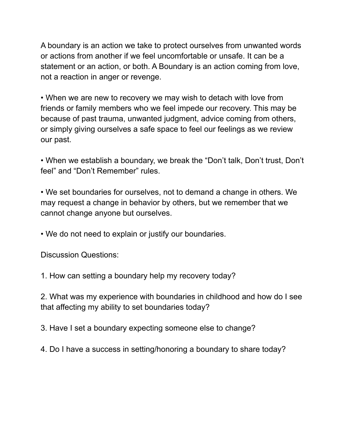A boundary is an action we take to protect ourselves from unwanted words or actions from another if we feel uncomfortable or unsafe. It can be a statement or an action, or both. A Boundary is an action coming from love, not a reaction in anger or revenge.

• When we are new to recovery we may wish to detach with love from friends or family members who we feel impede our recovery. This may be because of past trauma, unwanted judgment, advice coming from others, or simply giving ourselves a safe space to feel our feelings as we review our past.

• When we establish a boundary, we break the "Don't talk, Don't trust, Don't feel" and "Don't Remember" rules.

• We set boundaries for ourselves, not to demand a change in others. We may request a change in behavior by others, but we remember that we cannot change anyone but ourselves.

• We do not need to explain or justify our boundaries.

Discussion Questions:

1. How can setting a boundary help my recovery today?

2. What was my experience with boundaries in childhood and how do I see that affecting my ability to set boundaries today?

3. Have I set a boundary expecting someone else to change?

4. Do I have a success in setting/honoring a boundary to share today?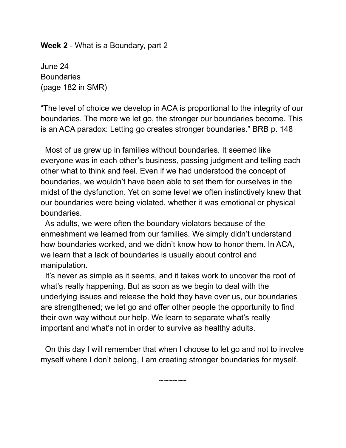**Week 2** - What is a Boundary, part 2

June 24 **Boundaries** (page 182 in SMR)

"The level of choice we develop in ACA is proportional to the integrity of our boundaries. The more we let go, the stronger our boundaries become. This is an ACA paradox: Letting go creates stronger boundaries." BRB p. 148

Most of us grew up in families without boundaries. It seemed like everyone was in each other's business, passing judgment and telling each other what to think and feel. Even if we had understood the concept of boundaries, we wouldn't have been able to set them for ourselves in the midst of the dysfunction. Yet on some level we often instinctively knew that our boundaries were being violated, whether it was emotional or physical boundaries.

As adults, we were often the boundary violators because of the enmeshment we learned from our families. We simply didn't understand how boundaries worked, and we didn't know how to honor them. In ACA, we learn that a lack of boundaries is usually about control and manipulation.

It's never as simple as it seems, and it takes work to uncover the root of what's really happening. But as soon as we begin to deal with the underlying issues and release the hold they have over us, our boundaries are strengthened; we let go and offer other people the opportunity to find their own way without our help. We learn to separate what's really important and what's not in order to survive as healthy adults.

On this day I will remember that when I choose to let go and not to involve myself where I don't belong, I am creating stronger boundaries for myself.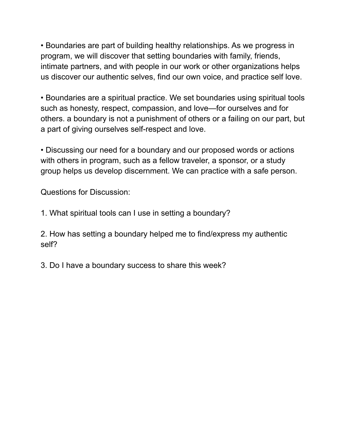• Boundaries are part of building healthy relationships. As we progress in program, we will discover that setting boundaries with family, friends, intimate partners, and with people in our work or other organizations helps us discover our authentic selves, find our own voice, and practice self love.

• Boundaries are a spiritual practice. We set boundaries using spiritual tools such as honesty, respect, compassion, and love—for ourselves and for others. a boundary is not a punishment of others or a failing on our part, but a part of giving ourselves self-respect and love.

• Discussing our need for a boundary and our proposed words or actions with others in program, such as a fellow traveler, a sponsor, or a study group helps us develop discernment. We can practice with a safe person.

Questions for Discussion:

1. What spiritual tools can I use in setting a boundary?

2. How has setting a boundary helped me to find/express my authentic self?

3. Do I have a boundary success to share this week?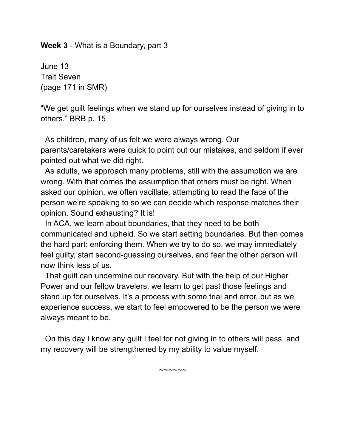#### **Week 3** - What is a Boundary, part 3

June 13 Trait Seven (page 171 in SMR)

"We get guilt feelings when we stand up for ourselves instead of giving in to others." BRB p. 15

As children, many of us felt we were always wrong. Our parents/caretakers were quick to point out our mistakes, and seldom if ever pointed out what we did right.

As adults, we approach many problems, still with the assumption we are wrong. With that comes the assumption that others must be right. When asked our opinion, we often vacillate, attempting to read the face of the person we're speaking to so we can decide which response matches their opinion. Sound exhausting? It is!

In ACA, we learn about boundaries, that they need to be both communicated and upheld. So we start setting boundaries. But then comes the hard part: enforcing them. When we try to do so, we may immediately feel guilty, start second-guessing ourselves, and fear the other person will now think less of us.

That guilt can undermine our recovery. But with the help of our Higher Power and our fellow travelers, we learn to get past those feelings and stand up for ourselves. It's a process with some trial and error, but as we experience success, we start to feel empowered to be the person we were always meant to be.

On this day I know any guilt I feel for not giving in to others will pass, and my recovery will be strengthened by my ability to value myself.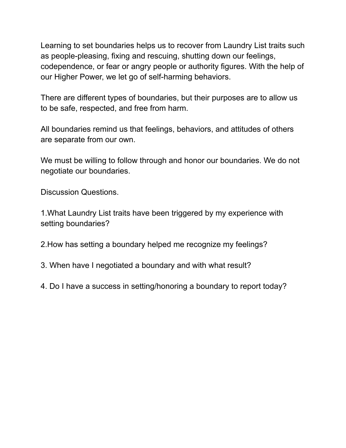Learning to set boundaries helps us to recover from Laundry List traits such as people-pleasing, fixing and rescuing, shutting down our feelings, codependence, or fear or angry people or authority figures. With the help of our Higher Power, we let go of self-harming behaviors.

There are different types of boundaries, but their purposes are to allow us to be safe, respected, and free from harm.

All boundaries remind us that feelings, behaviors, and attitudes of others are separate from our own.

We must be willing to follow through and honor our boundaries. We do not negotiate our boundaries.

Discussion Questions.

1.What Laundry List traits have been triggered by my experience with setting boundaries?

2.How has setting a boundary helped me recognize my feelings?

3. When have I negotiated a boundary and with what result?

4. Do I have a success in setting/honoring a boundary to report today?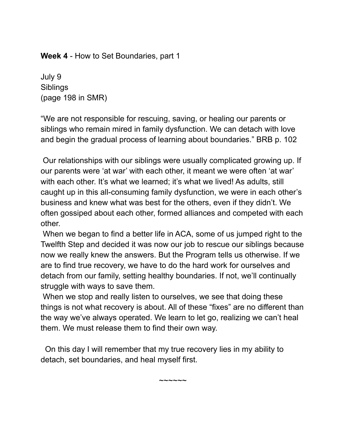**Week 4** - How to Set Boundaries, part 1

July 9 **Siblings** (page 198 in SMR)

"We are not responsible for rescuing, saving, or healing our parents or siblings who remain mired in family dysfunction. We can detach with love and begin the gradual process of learning about boundaries." BRB p. 102

Our relationships with our siblings were usually complicated growing up. If our parents were 'at war' with each other, it meant we were often 'at war' with each other. It's what we learned; it's what we lived! As adults, still caught up in this all-consuming family dysfunction, we were in each other's business and knew what was best for the others, even if they didn't. We often gossiped about each other, formed alliances and competed with each other.

When we began to find a better life in ACA, some of us jumped right to the Twelfth Step and decided it was now our job to rescue our siblings because now we really knew the answers. But the Program tells us otherwise. If we are to find true recovery, we have to do the hard work for ourselves and detach from our family, setting healthy boundaries. If not, we'll continually struggle with ways to save them.

When we stop and really listen to ourselves, we see that doing these things is not what recovery is about. All of these "fixes" are no different than the way we've always operated. We learn to let go, realizing we can't heal them. We must release them to find their own way.

 $\sim\sim\sim\sim\sim\sim$ 

On this day I will remember that my true recovery lies in my ability to detach, set boundaries, and heal myself first.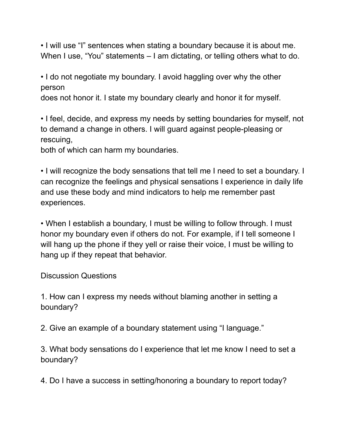• I will use "I" sentences when stating a boundary because it is about me. When I use, "You" statements – I am dictating, or telling others what to do.

• I do not negotiate my boundary. I avoid haggling over why the other person

does not honor it. I state my boundary clearly and honor it for myself.

• I feel, decide, and express my needs by setting boundaries for myself, not to demand a change in others. I will guard against people-pleasing or rescuing,

both of which can harm my boundaries.

• I will recognize the body sensations that tell me I need to set a boundary. I can recognize the feelings and physical sensations I experience in daily life and use these body and mind indicators to help me remember past experiences.

• When I establish a boundary, I must be willing to follow through. I must honor my boundary even if others do not. For example, if I tell someone I will hang up the phone if they yell or raise their voice, I must be willing to hang up if they repeat that behavior.

Discussion Questions

1. How can I express my needs without blaming another in setting a boundary?

2. Give an example of a boundary statement using "I language."

3. What body sensations do I experience that let me know I need to set a boundary?

4. Do I have a success in setting/honoring a boundary to report today?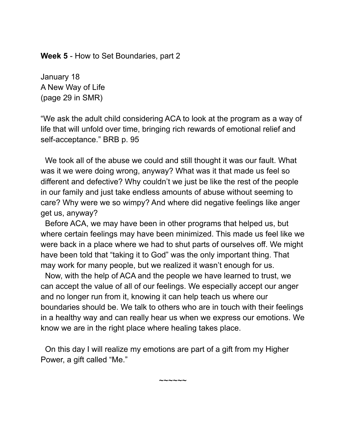**Week 5** - How to Set Boundaries, part 2

January 18 A New Way of Life (page 29 in SMR)

"We ask the adult child considering ACA to look at the program as a way of life that will unfold over time, bringing rich rewards of emotional relief and self-acceptance." BRB p. 95

We took all of the abuse we could and still thought it was our fault. What was it we were doing wrong, anyway? What was it that made us feel so different and defective? Why couldn't we just be like the rest of the people in our family and just take endless amounts of abuse without seeming to care? Why were we so wimpy? And where did negative feelings like anger get us, anyway?

Before ACA, we may have been in other programs that helped us, but where certain feelings may have been minimized. This made us feel like we were back in a place where we had to shut parts of ourselves off. We might have been told that "taking it to God" was the only important thing. That may work for many people, but we realized it wasn't enough for us.

Now, with the help of ACA and the people we have learned to trust, we can accept the value of all of our feelings. We especially accept our anger and no longer run from it, knowing it can help teach us where our boundaries should be. We talk to others who are in touch with their feelings in a healthy way and can really hear us when we express our emotions. We know we are in the right place where healing takes place.

On this day I will realize my emotions are part of a gift from my Higher Power, a gift called "Me."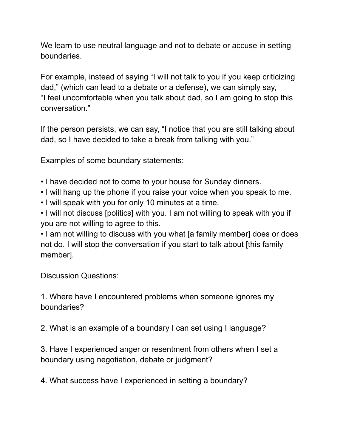We learn to use neutral language and not to debate or accuse in setting boundaries.

For example, instead of saying "I will not talk to you if you keep criticizing dad," (which can lead to a debate or a defense), we can simply say, "I feel uncomfortable when you talk about dad, so I am going to stop this conversation."

If the person persists, we can say, "I notice that you are still talking about dad, so I have decided to take a break from talking with you."

Examples of some boundary statements:

- I have decided not to come to your house for Sunday dinners.
- I will hang up the phone if you raise your voice when you speak to me.
- I will speak with you for only 10 minutes at a time.

• I will not discuss [politics] with you. I am not willing to speak with you if you are not willing to agree to this.

• I am not willing to discuss with you what [a family member] does or does not do. I will stop the conversation if you start to talk about [this family member].

Discussion Questions:

1. Where have I encountered problems when someone ignores my boundaries?

2. What is an example of a boundary I can set using I language?

3. Have I experienced anger or resentment from others when I set a boundary using negotiation, debate or judgment?

4. What success have I experienced in setting a boundary?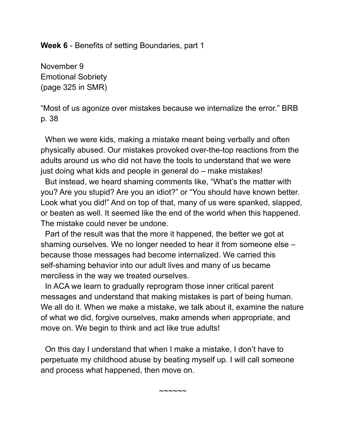**Week 6** - Benefits of setting Boundaries, part 1

November 9 Emotional Sobriety (page 325 in SMR)

"Most of us agonize over mistakes because we internalize the error." BRB p. 38

When we were kids, making a mistake meant being verbally and often physically abused. Our mistakes provoked over-the-top reactions from the adults around us who did not have the tools to understand that we were just doing what kids and people in general do – make mistakes!

But instead, we heard shaming comments like, "What's the matter with you? Are you stupid? Are you an idiot?" or "You should have known better. Look what you did!" And on top of that, many of us were spanked, slapped, or beaten as well. It seemed like the end of the world when this happened. The mistake could never be undone.

Part of the result was that the more it happened, the better we got at shaming ourselves. We no longer needed to hear it from someone else – because those messages had become internalized. We carried this self-shaming behavior into our adult lives and many of us became merciless in the way we treated ourselves.

In ACA we learn to gradually reprogram those inner critical parent messages and understand that making mistakes is part of being human. We all do it. When we make a mistake, we talk about it, examine the nature of what we did, forgive ourselves, make amends when appropriate, and move on. We begin to think and act like true adults!

On this day I understand that when I make a mistake, I don't have to perpetuate my childhood abuse by beating myself up. I will call someone and process what happened, then move on.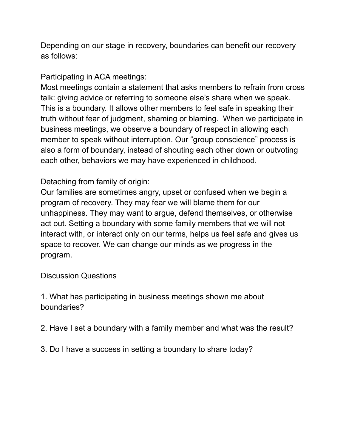Depending on our stage in recovery, boundaries can benefit our recovery as follows:

Participating in ACA meetings:

Most meetings contain a statement that asks members to refrain from cross talk: giving advice or referring to someone else's share when we speak. This is a boundary. It allows other members to feel safe in speaking their truth without fear of judgment, shaming or blaming. When we participate in business meetings, we observe a boundary of respect in allowing each member to speak without interruption. Our "group conscience" process is also a form of boundary, instead of shouting each other down or outvoting each other, behaviors we may have experienced in childhood.

## Detaching from family of origin:

Our families are sometimes angry, upset or confused when we begin a program of recovery. They may fear we will blame them for our unhappiness. They may want to argue, defend themselves, or otherwise act out. Setting a boundary with some family members that we will not interact with, or interact only on our terms, helps us feel safe and gives us space to recover. We can change our minds as we progress in the program.

Discussion Questions

1. What has participating in business meetings shown me about boundaries?

2. Have I set a boundary with a family member and what was the result?

3. Do I have a success in setting a boundary to share today?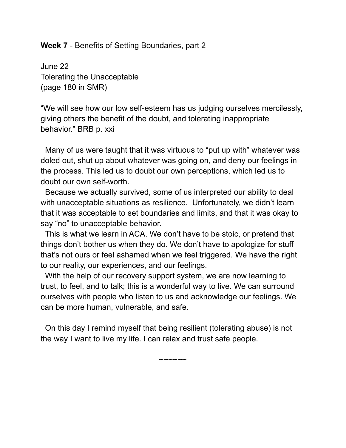#### **Week 7** - Benefits of Setting Boundaries, part 2

June 22 Tolerating the Unacceptable (page 180 in SMR)

"We will see how our low self-esteem has us judging ourselves mercilessly, giving others the benefit of the doubt, and tolerating inappropriate behavior." BRB p. xxi

Many of us were taught that it was virtuous to "put up with" whatever was doled out, shut up about whatever was going on, and deny our feelings in the process. This led us to doubt our own perceptions, which led us to doubt our own self-worth.

Because we actually survived, some of us interpreted our ability to deal with unacceptable situations as resilience. Unfortunately, we didn't learn that it was acceptable to set boundaries and limits, and that it was okay to say "no" to unacceptable behavior.

This is what we learn in ACA. We don't have to be stoic, or pretend that things don't bother us when they do. We don't have to apologize for stuff that's not ours or feel ashamed when we feel triggered. We have the right to our reality, our experiences, and our feelings.

With the help of our recovery support system, we are now learning to trust, to feel, and to talk; this is a wonderful way to live. We can surround ourselves with people who listen to us and acknowledge our feelings. We can be more human, vulnerable, and safe.

On this day I remind myself that being resilient (tolerating abuse) is not the way I want to live my life. I can relax and trust safe people.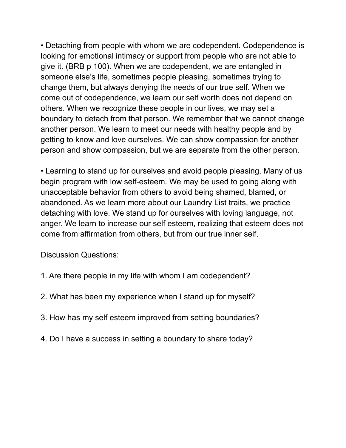• Detaching from people with whom we are codependent. Codependence is looking for emotional intimacy or support from people who are not able to give it. (BRB p 100). When we are codependent, we are entangled in someone else's life, sometimes people pleasing, sometimes trying to change them, but always denying the needs of our true self. When we come out of codependence, we learn our self worth does not depend on others. When we recognize these people in our lives, we may set a boundary to detach from that person. We remember that we cannot change another person. We learn to meet our needs with healthy people and by getting to know and love ourselves. We can show compassion for another person and show compassion, but we are separate from the other person.

• Learning to stand up for ourselves and avoid people pleasing. Many of us begin program with low self-esteem. We may be used to going along with unacceptable behavior from others to avoid being shamed, blamed, or abandoned. As we learn more about our Laundry List traits, we practice detaching with love. We stand up for ourselves with loving language, not anger. We learn to increase our self esteem, realizing that esteem does not come from affirmation from others, but from our true inner self.

Discussion Questions:

- 1. Are there people in my life with whom I am codependent?
- 2. What has been my experience when I stand up for myself?
- 3. How has my self esteem improved from setting boundaries?
- 4. Do I have a success in setting a boundary to share today?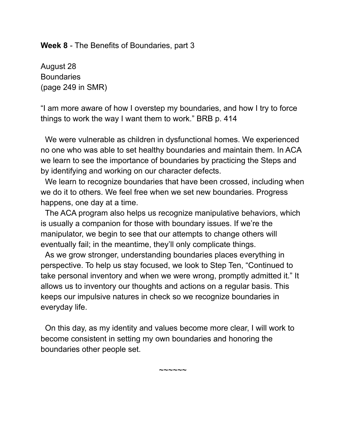**Week 8** - The Benefits of Boundaries, part 3

August 28 **Boundaries** (page 249 in SMR)

"I am more aware of how I overstep my boundaries, and how I try to force things to work the way I want them to work." BRB p. 414

We were vulnerable as children in dysfunctional homes. We experienced no one who was able to set healthy boundaries and maintain them. In ACA we learn to see the importance of boundaries by practicing the Steps and by identifying and working on our character defects.

We learn to recognize boundaries that have been crossed, including when we do it to others. We feel free when we set new boundaries. Progress happens, one day at a time.

The ACA program also helps us recognize manipulative behaviors, which is usually a companion for those with boundary issues. If we're the manipulator, we begin to see that our attempts to change others will eventually fail; in the meantime, they'll only complicate things.

As we grow stronger, understanding boundaries places everything in perspective. To help us stay focused, we look to Step Ten, "Continued to take personal inventory and when we were wrong, promptly admitted it." It allows us to inventory our thoughts and actions on a regular basis. This keeps our impulsive natures in check so we recognize boundaries in everyday life.

On this day, as my identity and values become more clear, I will work to become consistent in setting my own boundaries and honoring the boundaries other people set.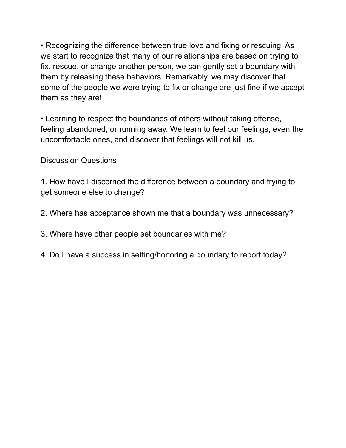• Recognizing the difference between true love and fixing or rescuing. As we start to recognize that many of our relationships are based on trying to fix, rescue, or change another person, we can gently set a boundary with them by releasing these behaviors. Remarkably, we may discover that some of the people we were trying to fix or change are just fine if we accept them as they are!

• Learning to respect the boundaries of others without taking offense, feeling abandoned, or running away. We learn to feel our feelings, even the uncomfortable ones, and discover that feelings will not kill us.

Discussion Questions

1. How have I discerned the difference between a boundary and trying to get someone else to change?

- 2. Where has acceptance shown me that a boundary was unnecessary?
- 3. Where have other people set boundaries with me?
- 4. Do I have a success in setting/honoring a boundary to report today?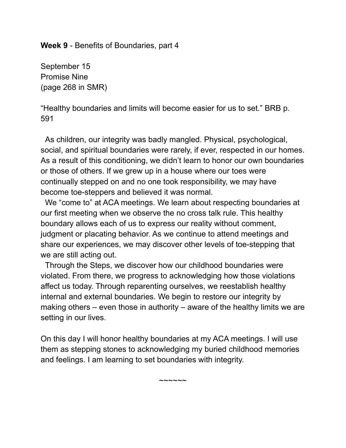**Week 9** - Benefits of Boundaries, part 4

September 15 Promise Nine (page 268 in SMR)

"Healthy boundaries and limits will become easier for us to set." BRB p. 591

As children, our integrity was badly mangled. Physical, psychological, social, and spiritual boundaries were rarely, if ever, respected in our homes. As a result of this conditioning, we didn't learn to honor our own boundaries or those of others. If we grew up in a house where our toes were continually stepped on and no one took responsibility, we may have become toe-steppers and believed it was normal.

We "come to" at ACA meetings. We learn about respecting boundaries at our first meeting when we observe the no cross talk rule. This healthy boundary allows each of us to express our reality without comment, judgment or placating behavior. As we continue to attend meetings and share our experiences, we may discover other levels of toe-stepping that we are still acting out.

Through the Steps, we discover how our childhood boundaries were violated. From there, we progress to acknowledging how those violations affect us today. Through reparenting ourselves, we reestablish healthy internal and external boundaries. We begin to restore our integrity by making others – even those in authority – aware of the healthy limits we are setting in our lives.

On this day I will honor healthy boundaries at my ACA meetings. I will use them as stepping stones to acknowledging my buried childhood memories and feelings. I am learning to set boundaries with integrity.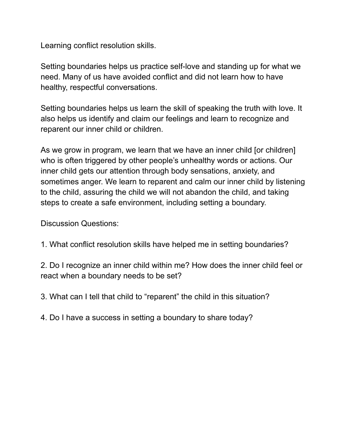Learning conflict resolution skills.

Setting boundaries helps us practice self-love and standing up for what we need. Many of us have avoided conflict and did not learn how to have healthy, respectful conversations.

Setting boundaries helps us learn the skill of speaking the truth with love. It also helps us identify and claim our feelings and learn to recognize and reparent our inner child or children.

As we grow in program, we learn that we have an inner child [or children] who is often triggered by other people's unhealthy words or actions. Our inner child gets our attention through body sensations, anxiety, and sometimes anger. We learn to reparent and calm our inner child by listening to the child, assuring the child we will not abandon the child, and taking steps to create a safe environment, including setting a boundary.

Discussion Questions:

1. What conflict resolution skills have helped me in setting boundaries?

2. Do I recognize an inner child within me? How does the inner child feel or react when a boundary needs to be set?

3. What can I tell that child to "reparent" the child in this situation?

4. Do I have a success in setting a boundary to share today?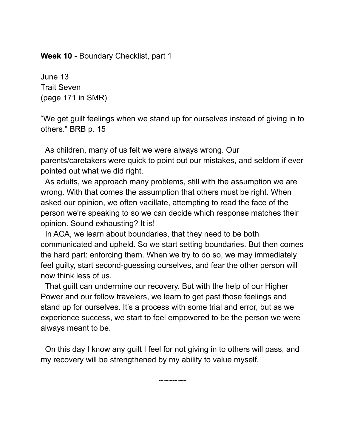**Week 10** - Boundary Checklist, part 1

June 13 Trait Seven (page 171 in SMR)

"We get guilt feelings when we stand up for ourselves instead of giving in to others." BRB p. 15

As children, many of us felt we were always wrong. Our parents/caretakers were quick to point out our mistakes, and seldom if ever pointed out what we did right.

As adults, we approach many problems, still with the assumption we are wrong. With that comes the assumption that others must be right. When asked our opinion, we often vacillate, attempting to read the face of the person we're speaking to so we can decide which response matches their opinion. Sound exhausting? It is!

In ACA, we learn about boundaries, that they need to be both communicated and upheld. So we start setting boundaries. But then comes the hard part: enforcing them. When we try to do so, we may immediately feel guilty, start second-guessing ourselves, and fear the other person will now think less of us.

That guilt can undermine our recovery. But with the help of our Higher Power and our fellow travelers, we learn to get past those feelings and stand up for ourselves. It's a process with some trial and error, but as we experience success, we start to feel empowered to be the person we were always meant to be.

On this day I know any guilt I feel for not giving in to others will pass, and my recovery will be strengthened by my ability to value myself.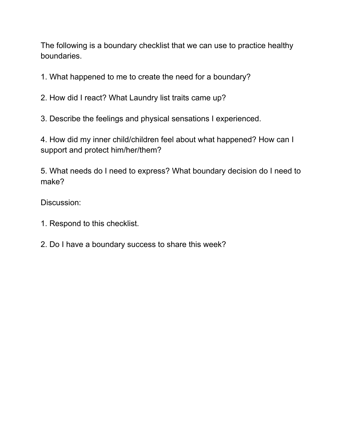The following is a boundary checklist that we can use to practice healthy boundaries.

1. What happened to me to create the need for a boundary?

2. How did I react? What Laundry list traits came up?

3. Describe the feelings and physical sensations I experienced.

4. How did my inner child/children feel about what happened? How can I support and protect him/her/them?

5. What needs do I need to express? What boundary decision do I need to make?

Discussion:

- 1. Respond to this checklist.
- 2. Do I have a boundary success to share this week?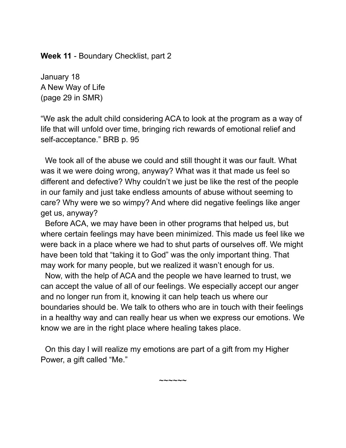**Week 11** - Boundary Checklist, part 2

January 18 A New Way of Life (page 29 in SMR)

"We ask the adult child considering ACA to look at the program as a way of life that will unfold over time, bringing rich rewards of emotional relief and self-acceptance." BRB p. 95

We took all of the abuse we could and still thought it was our fault. What was it we were doing wrong, anyway? What was it that made us feel so different and defective? Why couldn't we just be like the rest of the people in our family and just take endless amounts of abuse without seeming to care? Why were we so wimpy? And where did negative feelings like anger get us, anyway?

Before ACA, we may have been in other programs that helped us, but where certain feelings may have been minimized. This made us feel like we were back in a place where we had to shut parts of ourselves off. We might have been told that "taking it to God" was the only important thing. That may work for many people, but we realized it wasn't enough for us.

Now, with the help of ACA and the people we have learned to trust, we can accept the value of all of our feelings. We especially accept our anger and no longer run from it, knowing it can help teach us where our boundaries should be. We talk to others who are in touch with their feelings in a healthy way and can really hear us when we express our emotions. We know we are in the right place where healing takes place.

On this day I will realize my emotions are part of a gift from my Higher Power, a gift called "Me."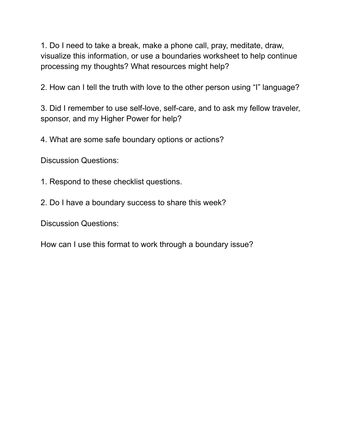1. Do I need to take a break, make a phone call, pray, meditate, draw, visualize this information, or use a boundaries worksheet to help continue processing my thoughts? What resources might help?

2. How can I tell the truth with love to the other person using "I" language?

3. Did I remember to use self-love, self-care, and to ask my fellow traveler, sponsor, and my Higher Power for help?

4. What are some safe boundary options or actions?

Discussion Questions:

1. Respond to these checklist questions.

2. Do I have a boundary success to share this week?

Discussion Questions:

How can I use this format to work through a boundary issue?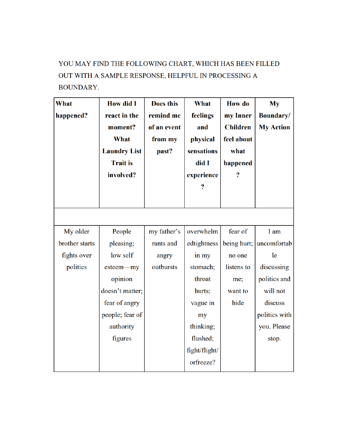# YOU MAY FIND THE FOLLOWING CHART, WHICH HAS BEEN FILLED OUT WITH A SAMPLE RESPONSE, HELPFUL IN PROCESSING A **BOUNDARY.**

| What<br>happened? | <b>How did I</b><br>react in the<br>moment?<br><b>What</b><br><b>Laundry List</b><br><b>Trait is</b><br>involved? | <b>Does this</b><br>remind me<br>of an event<br>from my<br>past? | <b>What</b><br>feelings<br>and<br>physical<br>sensations<br>did I<br>experience<br>$\overline{\mathbf{?}}$ | <b>How</b> do<br>my Inner<br><b>Children</b><br>feel about<br>what<br>happened<br>? | My<br><b>Boundary/</b><br><b>My Action</b> |
|-------------------|-------------------------------------------------------------------------------------------------------------------|------------------------------------------------------------------|------------------------------------------------------------------------------------------------------------|-------------------------------------------------------------------------------------|--------------------------------------------|
|                   |                                                                                                                   |                                                                  |                                                                                                            |                                                                                     |                                            |
| My older          | People                                                                                                            | my father's                                                      | overwhelm                                                                                                  | fear of                                                                             | I am                                       |
| brother starts    | pleasing;                                                                                                         | rants and                                                        | edtightness                                                                                                | being hurt;                                                                         | uncomfortab                                |
| fights over       | low self                                                                                                          | angry                                                            | in my                                                                                                      | no one                                                                              | le                                         |
| politics          | esteem—my                                                                                                         | outbursts                                                        | stomach;                                                                                                   | listens to                                                                          | discussing                                 |
|                   | opinion                                                                                                           |                                                                  | throat                                                                                                     | me;                                                                                 | politics and                               |
|                   | doesn't matter;                                                                                                   |                                                                  | hurts;                                                                                                     | want to                                                                             | will not                                   |
|                   | fear of angry                                                                                                     |                                                                  | vague in                                                                                                   | hide                                                                                | discuss                                    |
|                   | people; fear of                                                                                                   |                                                                  | my                                                                                                         |                                                                                     | politics with                              |
|                   | authority                                                                                                         |                                                                  | thinking;                                                                                                  |                                                                                     | you. Please                                |
|                   | figures                                                                                                           |                                                                  | flushed;                                                                                                   |                                                                                     | stop.                                      |
|                   |                                                                                                                   |                                                                  | fight/flight/                                                                                              |                                                                                     |                                            |
|                   |                                                                                                                   |                                                                  | orfreeze?                                                                                                  |                                                                                     |                                            |
|                   |                                                                                                                   |                                                                  |                                                                                                            |                                                                                     |                                            |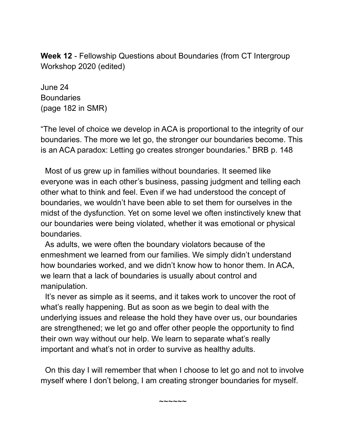**Week 12** - Fellowship Questions about Boundaries (from CT Intergroup Workshop 2020 (edited)

June 24 **Boundaries** (page 182 in SMR)

"The level of choice we develop in ACA is proportional to the integrity of our boundaries. The more we let go, the stronger our boundaries become. This is an ACA paradox: Letting go creates stronger boundaries." BRB p. 148

Most of us grew up in families without boundaries. It seemed like everyone was in each other's business, passing judgment and telling each other what to think and feel. Even if we had understood the concept of boundaries, we wouldn't have been able to set them for ourselves in the midst of the dysfunction. Yet on some level we often instinctively knew that our boundaries were being violated, whether it was emotional or physical boundaries.

As adults, we were often the boundary violators because of the enmeshment we learned from our families. We simply didn't understand how boundaries worked, and we didn't know how to honor them. In ACA, we learn that a lack of boundaries is usually about control and manipulation.

It's never as simple as it seems, and it takes work to uncover the root of what's really happening. But as soon as we begin to deal with the underlying issues and release the hold they have over us, our boundaries are strengthened; we let go and offer other people the opportunity to find their own way without our help. We learn to separate what's really important and what's not in order to survive as healthy adults.

On this day I will remember that when I choose to let go and not to involve myself where I don't belong, I am creating stronger boundaries for myself.

~~~~~~~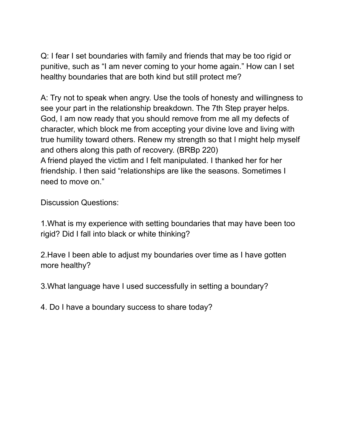Q: I fear I set boundaries with family and friends that may be too rigid or punitive, such as "I am never coming to your home again." How can I set healthy boundaries that are both kind but still protect me?

A: Try not to speak when angry. Use the tools of honesty and willingness to see your part in the relationship breakdown. The 7th Step prayer helps. God, I am now ready that you should remove from me all my defects of character, which block me from accepting your divine love and living with true humility toward others. Renew my strength so that I might help myself and others along this path of recovery. (BRBp 220) A friend played the victim and I felt manipulated. I thanked her for her friendship. I then said "relationships are like the seasons. Sometimes I need to move on."

Discussion Questions:

1.What is my experience with setting boundaries that may have been too rigid? Did I fall into black or white thinking?

2.Have I been able to adjust my boundaries over time as I have gotten more healthy?

3.What language have I used successfully in setting a boundary?

4. Do I have a boundary success to share today?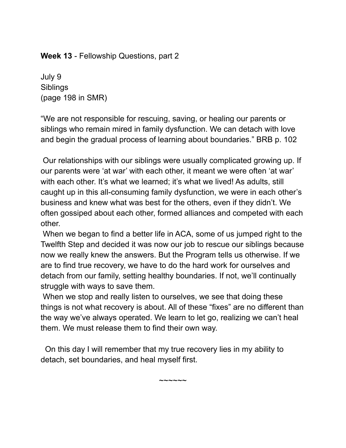**Week 13** - Fellowship Questions, part 2

July 9 **Siblings** (page 198 in SMR)

"We are not responsible for rescuing, saving, or healing our parents or siblings who remain mired in family dysfunction. We can detach with love and begin the gradual process of learning about boundaries." BRB p. 102

Our relationships with our siblings were usually complicated growing up. If our parents were 'at war' with each other, it meant we were often 'at war' with each other. It's what we learned; it's what we lived! As adults, still caught up in this all-consuming family dysfunction, we were in each other's business and knew what was best for the others, even if they didn't. We often gossiped about each other, formed alliances and competed with each other.

When we began to find a better life in ACA, some of us jumped right to the Twelfth Step and decided it was now our job to rescue our siblings because now we really knew the answers. But the Program tells us otherwise. If we are to find true recovery, we have to do the hard work for ourselves and detach from our family, setting healthy boundaries. If not, we'll continually struggle with ways to save them.

When we stop and really listen to ourselves, we see that doing these things is not what recovery is about. All of these "fixes" are no different than the way we've always operated. We learn to let go, realizing we can't heal them. We must release them to find their own way.

 $\sim\sim\sim\sim\sim\sim$ 

On this day I will remember that my true recovery lies in my ability to detach, set boundaries, and heal myself first.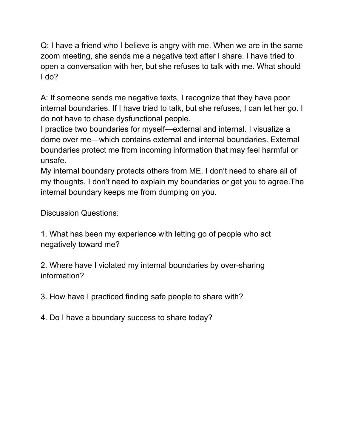Q: I have a friend who I believe is angry with me. When we are in the same zoom meeting, she sends me a negative text after I share. I have tried to open a conversation with her, but she refuses to talk with me. What should I do?

A: If someone sends me negative texts, I recognize that they have poor internal boundaries. If I have tried to talk, but she refuses, I can let her go. I do not have to chase dysfunctional people.

I practice two boundaries for myself—external and internal. I visualize a dome over me—which contains external and internal boundaries. External boundaries protect me from incoming information that may feel harmful or unsafe.

My internal boundary protects others from ME. I don't need to share all of my thoughts. I don't need to explain my boundaries or get you to agree.The internal boundary keeps me from dumping on you.

Discussion Questions:

1. What has been my experience with letting go of people who act negatively toward me?

2. Where have I violated my internal boundaries by over-sharing information?

3. How have I practiced finding safe people to share with?

4. Do I have a boundary success to share today?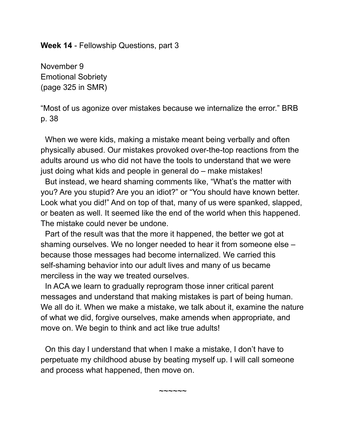**Week 14** - Fellowship Questions, part 3

November 9 Emotional Sobriety (page 325 in SMR)

"Most of us agonize over mistakes because we internalize the error." BRB p. 38

When we were kids, making a mistake meant being verbally and often physically abused. Our mistakes provoked over-the-top reactions from the adults around us who did not have the tools to understand that we were just doing what kids and people in general do – make mistakes!

But instead, we heard shaming comments like, "What's the matter with you? Are you stupid? Are you an idiot?" or "You should have known better. Look what you did!" And on top of that, many of us were spanked, slapped, or beaten as well. It seemed like the end of the world when this happened. The mistake could never be undone.

Part of the result was that the more it happened, the better we got at shaming ourselves. We no longer needed to hear it from someone else – because those messages had become internalized. We carried this self-shaming behavior into our adult lives and many of us became merciless in the way we treated ourselves.

In ACA we learn to gradually reprogram those inner critical parent messages and understand that making mistakes is part of being human. We all do it. When we make a mistake, we talk about it, examine the nature of what we did, forgive ourselves, make amends when appropriate, and move on. We begin to think and act like true adults!

On this day I understand that when I make a mistake, I don't have to perpetuate my childhood abuse by beating myself up. I will call someone and process what happened, then move on.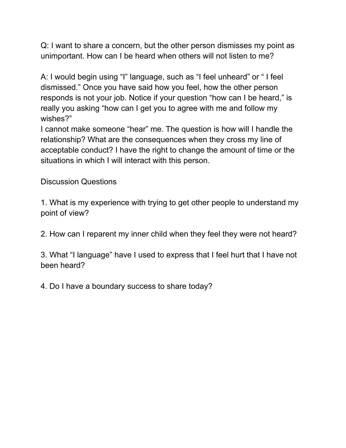Q: I want to share a concern, but the other person dismisses my point as unimportant. How can I be heard when others will not listen to me?

A: I would begin using "I" language, such as "I feel unheard" or " I feel dismissed." Once you have said how you feel, how the other person responds is not your job. Notice if your question "how can I be heard," is really you asking "how can I get you to agree with me and follow my wishes?"

I cannot make someone "hear" me. The question is how will I handle the relationship? What are the consequences when they cross my line of acceptable conduct? I have the right to change the amount of time or the situations in which I will interact with this person.

Discussion Questions

1. What is my experience with trying to get other people to understand my point of view?

2. How can I reparent my inner child when they feel they were not heard?

3. What "I language" have I used to express that I feel hurt that I have not been heard?

4. Do I have a boundary success to share today?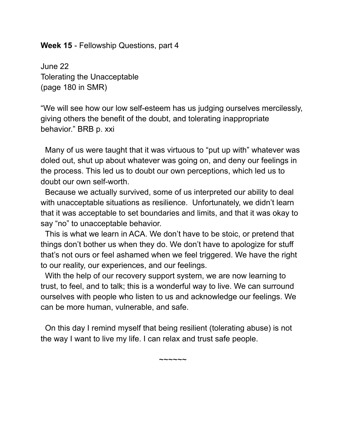#### **Week 15** - Fellowship Questions, part 4

June 22 Tolerating the Unacceptable (page 180 in SMR)

"We will see how our low self-esteem has us judging ourselves mercilessly, giving others the benefit of the doubt, and tolerating inappropriate behavior." BRB p. xxi

Many of us were taught that it was virtuous to "put up with" whatever was doled out, shut up about whatever was going on, and deny our feelings in the process. This led us to doubt our own perceptions, which led us to doubt our own self-worth.

Because we actually survived, some of us interpreted our ability to deal with unacceptable situations as resilience. Unfortunately, we didn't learn that it was acceptable to set boundaries and limits, and that it was okay to say "no" to unacceptable behavior.

This is what we learn in ACA. We don't have to be stoic, or pretend that things don't bother us when they do. We don't have to apologize for stuff that's not ours or feel ashamed when we feel triggered. We have the right to our reality, our experiences, and our feelings.

With the help of our recovery support system, we are now learning to trust, to feel, and to talk; this is a wonderful way to live. We can surround ourselves with people who listen to us and acknowledge our feelings. We can be more human, vulnerable, and safe.

On this day I remind myself that being resilient (tolerating abuse) is not the way I want to live my life. I can relax and trust safe people.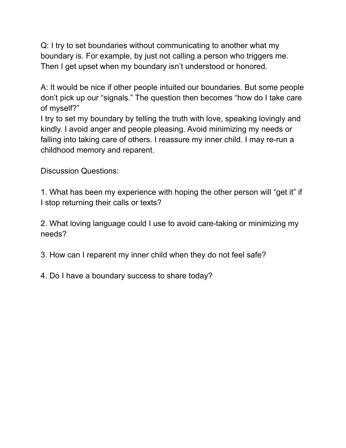Q: I try to set boundaries without communicating to another what my boundary is. For example, by just not calling a person who triggers me. Then I get upset when my boundary isn't understood or honored.

A: It would be nice if other people intuited our boundaries. But some people don't pick up our "signals." The question then becomes "how do I take care of myself?"

I try to set my boundary by telling the truth with love, speaking lovingly and kindly. I avoid anger and people pleasing. Avoid minimizing my needs or falling into taking care of others. I reassure my inner child. I may re-run a childhood memory and reparent.

Discussion Questions:

1. What has been my experience with hoping the other person will "get it" if I stop returning their calls or texts?

2. What loving language could I use to avoid care-taking or minimizing my needs?

3. How can I reparent my inner child when they do not feel safe?

4. Do I have a boundary success to share today?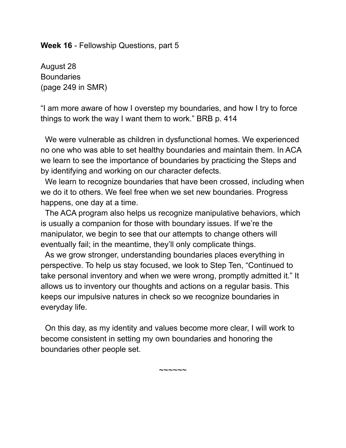#### **Week 16** - Fellowship Questions, part 5

August 28 **Boundaries** (page 249 in SMR)

"I am more aware of how I overstep my boundaries, and how I try to force things to work the way I want them to work." BRB p. 414

We were vulnerable as children in dysfunctional homes. We experienced no one who was able to set healthy boundaries and maintain them. In ACA we learn to see the importance of boundaries by practicing the Steps and by identifying and working on our character defects.

We learn to recognize boundaries that have been crossed, including when we do it to others. We feel free when we set new boundaries. Progress happens, one day at a time.

The ACA program also helps us recognize manipulative behaviors, which is usually a companion for those with boundary issues. If we're the manipulator, we begin to see that our attempts to change others will eventually fail; in the meantime, they'll only complicate things.

As we grow stronger, understanding boundaries places everything in perspective. To help us stay focused, we look to Step Ten, "Continued to take personal inventory and when we were wrong, promptly admitted it." It allows us to inventory our thoughts and actions on a regular basis. This keeps our impulsive natures in check so we recognize boundaries in everyday life.

On this day, as my identity and values become more clear, I will work to become consistent in setting my own boundaries and honoring the boundaries other people set.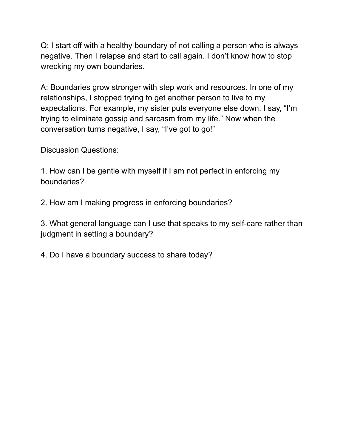Q: I start off with a healthy boundary of not calling a person who is always negative. Then I relapse and start to call again. I don't know how to stop wrecking my own boundaries.

A: Boundaries grow stronger with step work and resources. In one of my relationships, I stopped trying to get another person to live to my expectations. For example, my sister puts everyone else down. I say, "I'm trying to eliminate gossip and sarcasm from my life." Now when the conversation turns negative, I say, "I've got to go!"

Discussion Questions:

1. How can I be gentle with myself if I am not perfect in enforcing my boundaries?

2. How am I making progress in enforcing boundaries?

3. What general language can I use that speaks to my self-care rather than judgment in setting a boundary?

4. Do I have a boundary success to share today?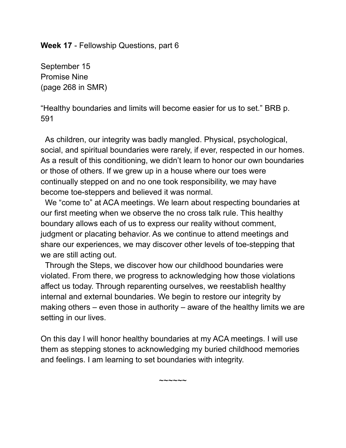**Week 17** - Fellowship Questions, part 6

September 15 Promise Nine (page 268 in SMR)

"Healthy boundaries and limits will become easier for us to set." BRB p. 591

As children, our integrity was badly mangled. Physical, psychological, social, and spiritual boundaries were rarely, if ever, respected in our homes. As a result of this conditioning, we didn't learn to honor our own boundaries or those of others. If we grew up in a house where our toes were continually stepped on and no one took responsibility, we may have become toe-steppers and believed it was normal.

We "come to" at ACA meetings. We learn about respecting boundaries at our first meeting when we observe the no cross talk rule. This healthy boundary allows each of us to express our reality without comment, judgment or placating behavior. As we continue to attend meetings and share our experiences, we may discover other levels of toe-stepping that we are still acting out.

Through the Steps, we discover how our childhood boundaries were violated. From there, we progress to acknowledging how those violations affect us today. Through reparenting ourselves, we reestablish healthy internal and external boundaries. We begin to restore our integrity by making others – even those in authority – aware of the healthy limits we are setting in our lives.

On this day I will honor healthy boundaries at my ACA meetings. I will use them as stepping stones to acknowledging my buried childhood memories and feelings. I am learning to set boundaries with integrity.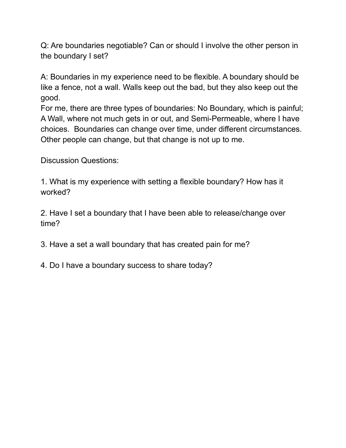Q: Are boundaries negotiable? Can or should I involve the other person in the boundary I set?

A: Boundaries in my experience need to be flexible. A boundary should be like a fence, not a wall. Walls keep out the bad, but they also keep out the good.

For me, there are three types of boundaries: No Boundary, which is painful; A Wall, where not much gets in or out, and Semi-Permeable, where I have choices. Boundaries can change over time, under different circumstances. Other people can change, but that change is not up to me.

Discussion Questions:

1. What is my experience with setting a flexible boundary? How has it worked?

2. Have I set a boundary that I have been able to release/change over time?

3. Have a set a wall boundary that has created pain for me?

4. Do I have a boundary success to share today?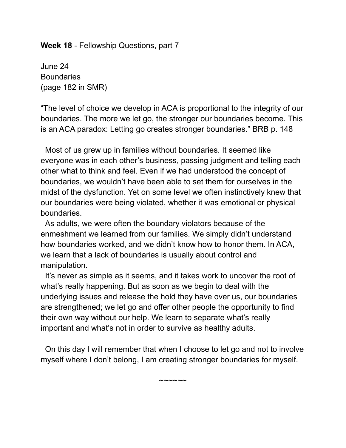**Week 18** - Fellowship Questions, part 7

June 24 **Boundaries** (page 182 in SMR)

"The level of choice we develop in ACA is proportional to the integrity of our boundaries. The more we let go, the stronger our boundaries become. This is an ACA paradox: Letting go creates stronger boundaries." BRB p. 148

Most of us grew up in families without boundaries. It seemed like everyone was in each other's business, passing judgment and telling each other what to think and feel. Even if we had understood the concept of boundaries, we wouldn't have been able to set them for ourselves in the midst of the dysfunction. Yet on some level we often instinctively knew that our boundaries were being violated, whether it was emotional or physical boundaries.

As adults, we were often the boundary violators because of the enmeshment we learned from our families. We simply didn't understand how boundaries worked, and we didn't know how to honor them. In ACA, we learn that a lack of boundaries is usually about control and manipulation.

It's never as simple as it seems, and it takes work to uncover the root of what's really happening. But as soon as we begin to deal with the underlying issues and release the hold they have over us, our boundaries are strengthened; we let go and offer other people the opportunity to find their own way without our help. We learn to separate what's really important and what's not in order to survive as healthy adults.

On this day I will remember that when I choose to let go and not to involve myself where I don't belong, I am creating stronger boundaries for myself.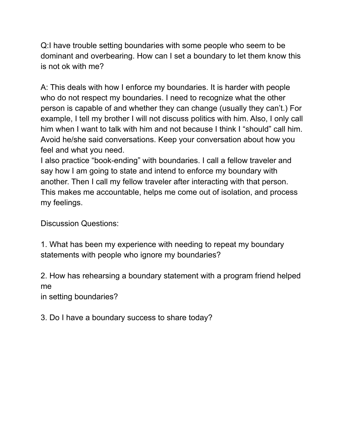Q:I have trouble setting boundaries with some people who seem to be dominant and overbearing. How can I set a boundary to let them know this is not ok with me?

A: This deals with how I enforce my boundaries. It is harder with people who do not respect my boundaries. I need to recognize what the other person is capable of and whether they can change (usually they can't.) For example, I tell my brother I will not discuss politics with him. Also, I only call him when I want to talk with him and not because I think I "should" call him. Avoid he/she said conversations. Keep your conversation about how you feel and what you need.

I also practice "book-ending" with boundaries. I call a fellow traveler and say how I am going to state and intend to enforce my boundary with another. Then I call my fellow traveler after interacting with that person. This makes me accountable, helps me come out of isolation, and process my feelings.

Discussion Questions:

1. What has been my experience with needing to repeat my boundary statements with people who ignore my boundaries?

2. How has rehearsing a boundary statement with a program friend helped me

in setting boundaries?

3. Do I have a boundary success to share today?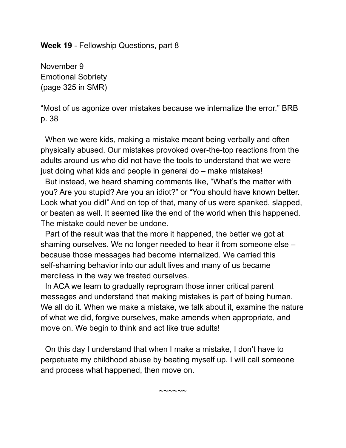**Week 19** - Fellowship Questions, part 8

November 9 Emotional Sobriety (page 325 in SMR)

"Most of us agonize over mistakes because we internalize the error." BRB p. 38

When we were kids, making a mistake meant being verbally and often physically abused. Our mistakes provoked over-the-top reactions from the adults around us who did not have the tools to understand that we were just doing what kids and people in general do – make mistakes!

But instead, we heard shaming comments like, "What's the matter with you? Are you stupid? Are you an idiot?" or "You should have known better. Look what you did!" And on top of that, many of us were spanked, slapped, or beaten as well. It seemed like the end of the world when this happened. The mistake could never be undone.

Part of the result was that the more it happened, the better we got at shaming ourselves. We no longer needed to hear it from someone else – because those messages had become internalized. We carried this self-shaming behavior into our adult lives and many of us became merciless in the way we treated ourselves.

In ACA we learn to gradually reprogram those inner critical parent messages and understand that making mistakes is part of being human. We all do it. When we make a mistake, we talk about it, examine the nature of what we did, forgive ourselves, make amends when appropriate, and move on. We begin to think and act like true adults!

On this day I understand that when I make a mistake, I don't have to perpetuate my childhood abuse by beating myself up. I will call someone and process what happened, then move on.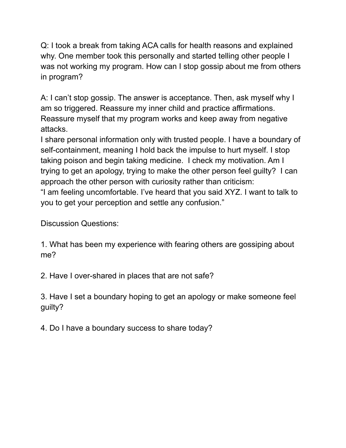Q: I took a break from taking ACA calls for health reasons and explained why. One member took this personally and started telling other people I was not working my program. How can I stop gossip about me from others in program?

A: I can't stop gossip. The answer is acceptance. Then, ask myself why I am so triggered. Reassure my inner child and practice affirmations. Reassure myself that my program works and keep away from negative attacks.

I share personal information only with trusted people. I have a boundary of self-containment, meaning I hold back the impulse to hurt myself. I stop taking poison and begin taking medicine. I check my motivation. Am I trying to get an apology, trying to make the other person feel guilty? I can approach the other person with curiosity rather than criticism: "I am feeling uncomfortable. I've heard that you said XYZ. I want to talk to you to get your perception and settle any confusion."

Discussion Questions:

1. What has been my experience with fearing others are gossiping about me?

2. Have I over-shared in places that are not safe?

3. Have I set a boundary hoping to get an apology or make someone feel guilty?

4. Do I have a boundary success to share today?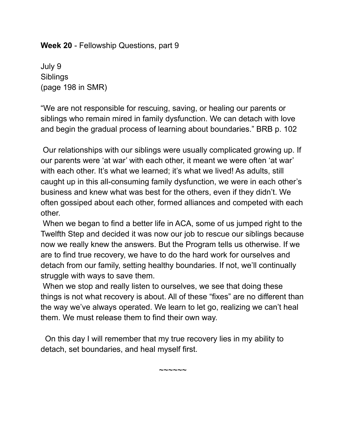**Week 20** - Fellowship Questions, part 9

July 9 Siblings (page 198 in SMR)

"We are not responsible for rescuing, saving, or healing our parents or siblings who remain mired in family dysfunction. We can detach with love and begin the gradual process of learning about boundaries." BRB p. 102

Our relationships with our siblings were usually complicated growing up. If our parents were 'at war' with each other, it meant we were often 'at war' with each other. It's what we learned; it's what we lived! As adults, still caught up in this all-consuming family dysfunction, we were in each other's business and knew what was best for the others, even if they didn't. We often gossiped about each other, formed alliances and competed with each other.

When we began to find a better life in ACA, some of us jumped right to the Twelfth Step and decided it was now our job to rescue our siblings because now we really knew the answers. But the Program tells us otherwise. If we are to find true recovery, we have to do the hard work for ourselves and detach from our family, setting healthy boundaries. If not, we'll continually struggle with ways to save them.

When we stop and really listen to ourselves, we see that doing these things is not what recovery is about. All of these "fixes" are no different than the way we've always operated. We learn to let go, realizing we can't heal them. We must release them to find their own way.

 $\sim\sim\sim\sim\sim\sim$ 

On this day I will remember that my true recovery lies in my ability to detach, set boundaries, and heal myself first.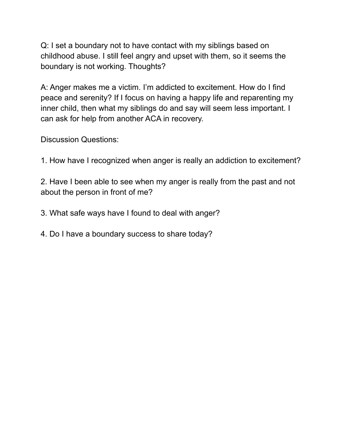Q: I set a boundary not to have contact with my siblings based on childhood abuse. I still feel angry and upset with them, so it seems the boundary is not working. Thoughts?

A: Anger makes me a victim. I'm addicted to excitement. How do I find peace and serenity? If I focus on having a happy life and reparenting my inner child, then what my siblings do and say will seem less important. I can ask for help from another ACA in recovery.

Discussion Questions:

1. How have I recognized when anger is really an addiction to excitement?

2. Have I been able to see when my anger is really from the past and not about the person in front of me?

3. What safe ways have I found to deal with anger?

4. Do I have a boundary success to share today?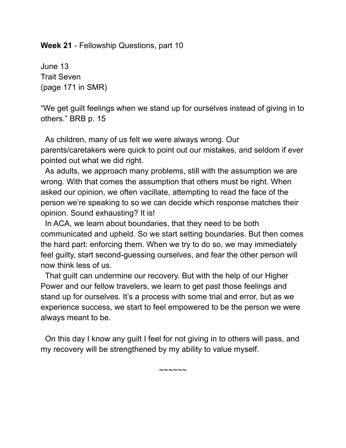**Week 21** - Fellowship Questions, part 10

June 13 Trait Seven (page 171 in SMR)

"We get guilt feelings when we stand up for ourselves instead of giving in to others." BRB p. 15

As children, many of us felt we were always wrong. Our parents/caretakers were quick to point out our mistakes, and seldom if ever pointed out what we did right.

As adults, we approach many problems, still with the assumption we are wrong. With that comes the assumption that others must be right. When asked our opinion, we often vacillate, attempting to read the face of the person we're speaking to so we can decide which response matches their opinion. Sound exhausting? It is!

In ACA, we learn about boundaries, that they need to be both communicated and upheld. So we start setting boundaries. But then comes the hard part: enforcing them. When we try to do so, we may immediately feel guilty, start second-guessing ourselves, and fear the other person will now think less of us.

That guilt can undermine our recovery. But with the help of our Higher Power and our fellow travelers, we learn to get past those feelings and stand up for ourselves. It's a process with some trial and error, but as we experience success, we start to feel empowered to be the person we were always meant to be.

On this day I know any guilt I feel for not giving in to others will pass, and my recovery will be strengthened by my ability to value myself.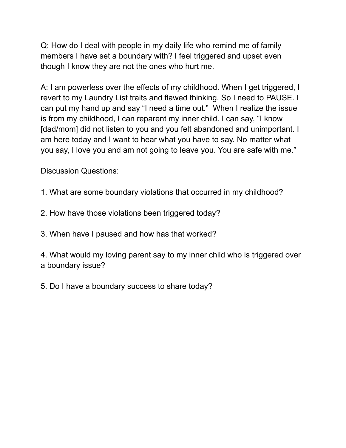Q: How do I deal with people in my daily life who remind me of family members I have set a boundary with? I feel triggered and upset even though I know they are not the ones who hurt me.

A: I am powerless over the effects of my childhood. When I get triggered, I revert to my Laundry List traits and flawed thinking. So I need to PAUSE. I can put my hand up and say "I need a time out." When I realize the issue is from my childhood, I can reparent my inner child. I can say, "I know [dad/mom] did not listen to you and you felt abandoned and unimportant. I am here today and I want to hear what you have to say. No matter what you say, I love you and am not going to leave you. You are safe with me."

Discussion Questions:

- 1. What are some boundary violations that occurred in my childhood?
- 2. How have those violations been triggered today?
- 3. When have I paused and how has that worked?

4. What would my loving parent say to my inner child who is triggered over a boundary issue?

5. Do I have a boundary success to share today?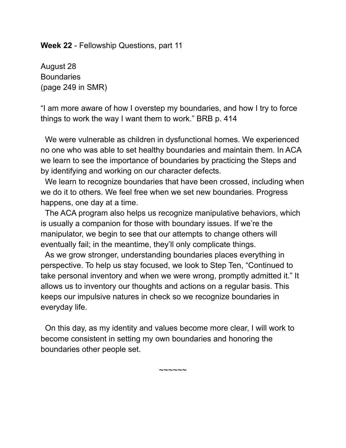#### **Week 22** - Fellowship Questions, part 11

August 28 **Boundaries** (page 249 in SMR)

"I am more aware of how I overstep my boundaries, and how I try to force things to work the way I want them to work." BRB p. 414

We were vulnerable as children in dysfunctional homes. We experienced no one who was able to set healthy boundaries and maintain them. In ACA we learn to see the importance of boundaries by practicing the Steps and by identifying and working on our character defects.

We learn to recognize boundaries that have been crossed, including when we do it to others. We feel free when we set new boundaries. Progress happens, one day at a time.

The ACA program also helps us recognize manipulative behaviors, which is usually a companion for those with boundary issues. If we're the manipulator, we begin to see that our attempts to change others will eventually fail; in the meantime, they'll only complicate things.

As we grow stronger, understanding boundaries places everything in perspective. To help us stay focused, we look to Step Ten, "Continued to take personal inventory and when we were wrong, promptly admitted it." It allows us to inventory our thoughts and actions on a regular basis. This keeps our impulsive natures in check so we recognize boundaries in everyday life.

On this day, as my identity and values become more clear, I will work to become consistent in setting my own boundaries and honoring the boundaries other people set.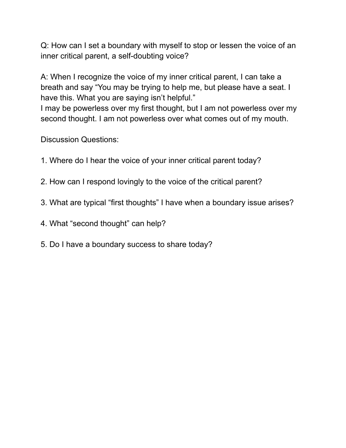Q: How can I set a boundary with myself to stop or lessen the voice of an inner critical parent, a self-doubting voice?

A: When I recognize the voice of my inner critical parent, I can take a breath and say "You may be trying to help me, but please have a seat. I have this. What you are saying isn't helpful."

I may be powerless over my first thought, but I am not powerless over my second thought. I am not powerless over what comes out of my mouth.

Discussion Questions:

- 1. Where do I hear the voice of your inner critical parent today?
- 2. How can I respond lovingly to the voice of the critical parent?
- 3. What are typical "first thoughts" I have when a boundary issue arises?
- 4. What "second thought" can help?
- 5. Do I have a boundary success to share today?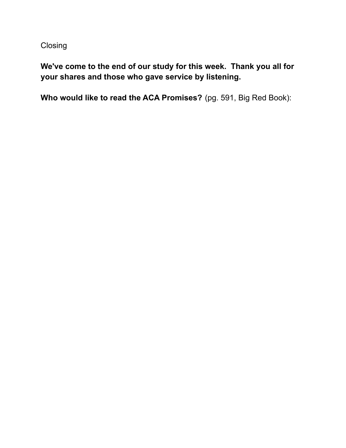Closing

**We've come to the end of our study for this week. Thank you all for your shares and those who gave service by listening.**

**Who would like to read the ACA Promises?** (pg. 591, Big Red Book):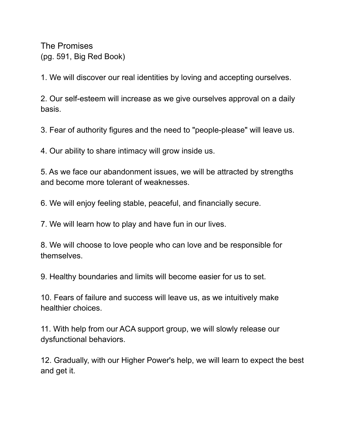The Promises (pg. 591, Big Red Book)

1. We will discover our real identities by loving and accepting ourselves.

2. Our self-esteem will increase as we give ourselves approval on a daily basis.

3. Fear of authority figures and the need to "people-please" will leave us.

4. Our ability to share intimacy will grow inside us.

5. As we face our abandonment issues, we will be attracted by strengths and become more tolerant of weaknesses.

6. We will enjoy feeling stable, peaceful, and financially secure.

7. We will learn how to play and have fun in our lives.

8. We will choose to love people who can love and be responsible for themselves.

9. Healthy boundaries and limits will become easier for us to set.

10. Fears of failure and success will leave us, as we intuitively make healthier choices.

11. With help from our ACA support group, we will slowly release our dysfunctional behaviors.

12. Gradually, with our Higher Power's help, we will learn to expect the best and get it.